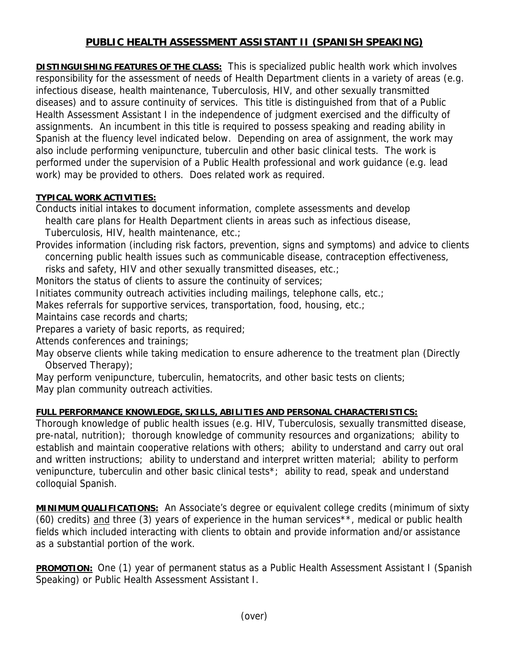## **PUBLIC HEALTH ASSESSMENT ASSISTANT II (SPANISH SPEAKING)**

**DISTINGUISHING FEATURES OF THE CLASS:** This is specialized public health work which involves responsibility for the assessment of needs of Health Department clients in a variety of areas (e.g. infectious disease, health maintenance, Tuberculosis, HIV, and other sexually transmitted diseases) and to assure continuity of services. This title is distinguished from that of a Public Health Assessment Assistant I in the independence of judgment exercised and the difficulty of assignments. An incumbent in this title is required to possess speaking and reading ability in Spanish at the fluency level indicated below. Depending on area of assignment, the work may also include performing venipuncture, tuberculin and other basic clinical tests. The work is performed under the supervision of a Public Health professional and work guidance (e.g. lead work) may be provided to others. Does related work as required.

## **TYPICAL WORK ACTIVITIES:**

Conducts initial intakes to document information, complete assessments and develop health care plans for Health Department clients in areas such as infectious disease, Tuberculosis, HIV, health maintenance, etc.;

Provides information (including risk factors, prevention, signs and symptoms) and advice to clients concerning public health issues such as communicable disease, contraception effectiveness,

risks and safety, HIV and other sexually transmitted diseases, etc.;

Monitors the status of clients to assure the continuity of services;

Initiates community outreach activities including mailings, telephone calls, etc.;

Makes referrals for supportive services, transportation, food, housing, etc.;

Maintains case records and charts;

Prepares a variety of basic reports, as required;

Attends conferences and trainings;

May observe clients while taking medication to ensure adherence to the treatment plan (Directly Observed Therapy);

May perform venipuncture, tuberculin, hematocrits, and other basic tests on clients; May plan community outreach activities.

## **FULL PERFORMANCE KNOWLEDGE, SKILLS, ABILITIES AND PERSONAL CHARACTERISTICS:**

Thorough knowledge of public health issues (e.g. HIV, Tuberculosis, sexually transmitted disease, pre-natal, nutrition); thorough knowledge of community resources and organizations; ability to establish and maintain cooperative relations with others; ability to understand and carry out oral and written instructions; ability to understand and interpret written material; ability to perform venipuncture, tuberculin and other basic clinical tests<sup>\*</sup>; ability to read, speak and understand colloquial Spanish.

**MINIMUM QUALIFICATIONS:** An Associate's degree or equivalent college credits (minimum of sixty (60) credits) and three (3) years of experience in the human services\*\*, medical or public health fields which included interacting with clients to obtain and provide information and/or assistance as a substantial portion of the work.

**PROMOTION:** One (1) year of permanent status as a Public Health Assessment Assistant I (Spanish Speaking) or Public Health Assessment Assistant I.